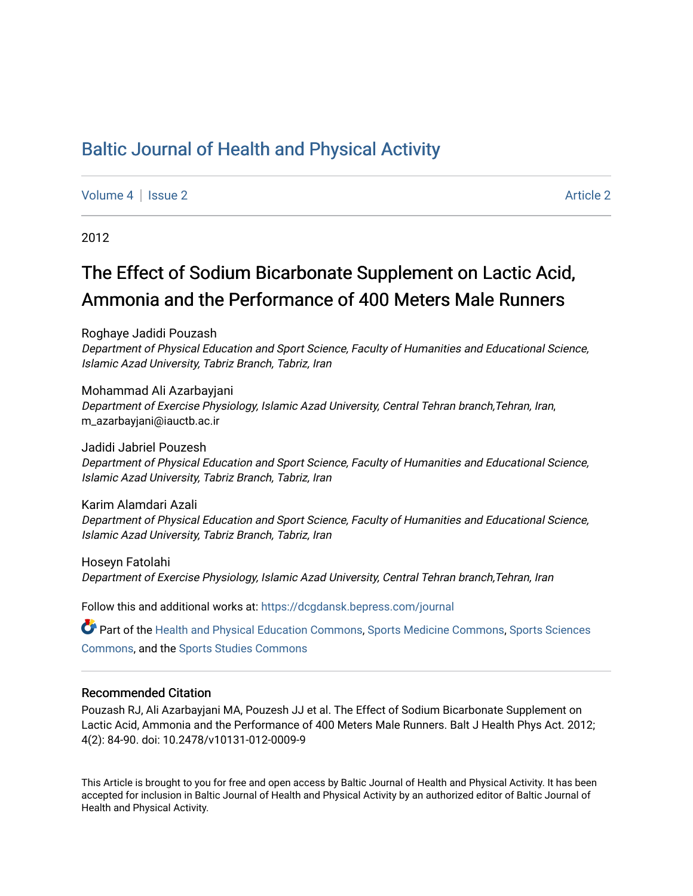## [Baltic Journal of Health and Physical Activity](https://dcgdansk.bepress.com/journal)

[Volume 4](https://dcgdansk.bepress.com/journal/vol4) | [Issue 2](https://dcgdansk.bepress.com/journal/vol4/iss2) Article 2

2012

# The Effect of Sodium Bicarbonate Supplement on Lactic Acid, Ammonia and the Performance of 400 Meters Male Runners

Roghaye Jadidi Pouzash Department of Physical Education and Sport Science, Faculty of Humanities and Educational Science, Islamic Azad University, Tabriz Branch, Tabriz, Iran

Mohammad Ali Azarbayjani Department of Exercise Physiology, Islamic Azad University, Central Tehran branch,Tehran, Iran, m\_azarbayjani@iauctb.ac.ir

Jadidi Jabriel Pouzesh Department of Physical Education and Sport Science, Faculty of Humanities and Educational Science, Islamic Azad University, Tabriz Branch, Tabriz, Iran

Karim Alamdari Azali Department of Physical Education and Sport Science, Faculty of Humanities and Educational Science, Islamic Azad University, Tabriz Branch, Tabriz, Iran

Hoseyn Fatolahi Department of Exercise Physiology, Islamic Azad University, Central Tehran branch,Tehran, Iran

Follow this and additional works at: [https://dcgdansk.bepress.com/journal](https://dcgdansk.bepress.com/journal?utm_source=dcgdansk.bepress.com%2Fjournal%2Fvol4%2Fiss2%2F2&utm_medium=PDF&utm_campaign=PDFCoverPages)

Part of the [Health and Physical Education Commons](http://network.bepress.com/hgg/discipline/1327?utm_source=dcgdansk.bepress.com%2Fjournal%2Fvol4%2Fiss2%2F2&utm_medium=PDF&utm_campaign=PDFCoverPages), [Sports Medicine Commons,](http://network.bepress.com/hgg/discipline/1331?utm_source=dcgdansk.bepress.com%2Fjournal%2Fvol4%2Fiss2%2F2&utm_medium=PDF&utm_campaign=PDFCoverPages) [Sports Sciences](http://network.bepress.com/hgg/discipline/759?utm_source=dcgdansk.bepress.com%2Fjournal%2Fvol4%2Fiss2%2F2&utm_medium=PDF&utm_campaign=PDFCoverPages) [Commons](http://network.bepress.com/hgg/discipline/759?utm_source=dcgdansk.bepress.com%2Fjournal%2Fvol4%2Fiss2%2F2&utm_medium=PDF&utm_campaign=PDFCoverPages), and the [Sports Studies Commons](http://network.bepress.com/hgg/discipline/1198?utm_source=dcgdansk.bepress.com%2Fjournal%2Fvol4%2Fiss2%2F2&utm_medium=PDF&utm_campaign=PDFCoverPages) 

#### Recommended Citation

Pouzash RJ, Ali Azarbayjani MA, Pouzesh JJ et al. The Effect of Sodium Bicarbonate Supplement on Lactic Acid, Ammonia and the Performance of 400 Meters Male Runners. Balt J Health Phys Act. 2012; 4(2): 84-90. doi: 10.2478/v10131-012-0009-9

This Article is brought to you for free and open access by Baltic Journal of Health and Physical Activity. It has been accepted for inclusion in Baltic Journal of Health and Physical Activity by an authorized editor of Baltic Journal of Health and Physical Activity.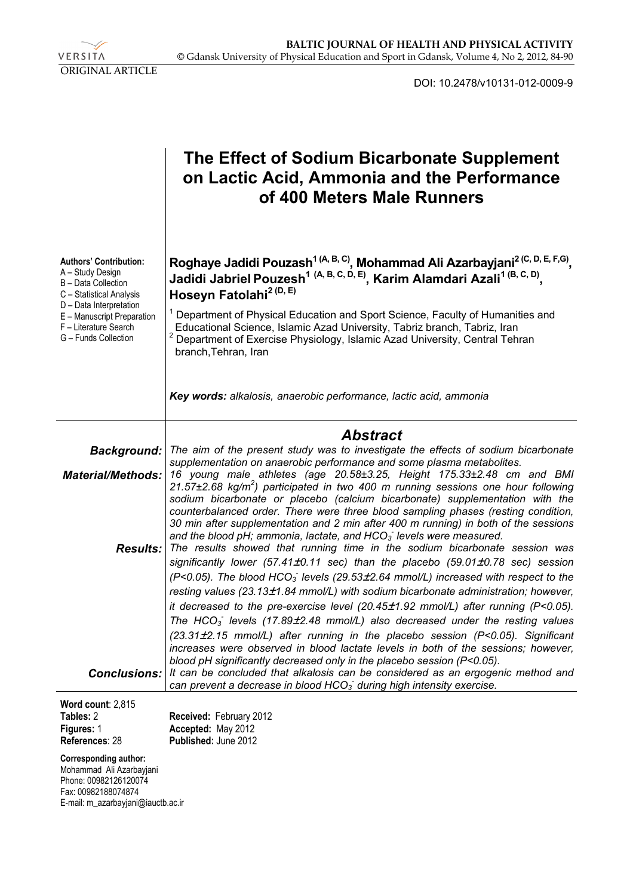VERSITA ORIGINAL ARTICLE

DOI: 10.2478/v10131-012-0009-9

|                                                                                                                                 | The Effect of Sodium Bicarbonate Supplement<br>on Lactic Acid, Ammonia and the Performance<br>of 400 Meters Male Runners                                                                                                                                                                                                                                                                                                         |
|---------------------------------------------------------------------------------------------------------------------------------|----------------------------------------------------------------------------------------------------------------------------------------------------------------------------------------------------------------------------------------------------------------------------------------------------------------------------------------------------------------------------------------------------------------------------------|
| <b>Authors' Contribution:</b><br>A – Study Design<br>B - Data Collection<br>C - Statistical Analysis<br>D - Data Interpretation | Roghaye Jadidi Pouzash <sup>1 (A, B, C)</sup> , Mohammad Ali Azarbayjani <sup>2 (C, D, E, F,G)</sup> ,<br>Jadidi Jabriel Pouzesh <sup>1 (A, B, C, D, E)</sup> , Karim Alamdari Azali <sup>1 (B, C, D)</sup> ,<br>Hoseyn Fatolahi <sup>2 (D, E)</sup>                                                                                                                                                                             |
| E - Manuscript Preparation<br>F - Literature Search<br>G - Funds Collection                                                     | Department of Physical Education and Sport Science, Faculty of Humanities and<br>Educational Science, Islamic Azad University, Tabriz branch, Tabriz, Iran<br>Department of Exercise Physiology, Islamic Azad University, Central Tehran<br>branch, Tehran, Iran                                                                                                                                                                 |
|                                                                                                                                 | Key words: alkalosis, anaerobic performance, lactic acid, ammonia                                                                                                                                                                                                                                                                                                                                                                |
|                                                                                                                                 |                                                                                                                                                                                                                                                                                                                                                                                                                                  |
|                                                                                                                                 |                                                                                                                                                                                                                                                                                                                                                                                                                                  |
| <b>Background:</b><br><b>Material/Methods:</b>                                                                                  | <b>Abstract</b><br>The aim of the present study was to investigate the effects of sodium bicarbonate<br>supplementation on anaerobic performance and some plasma metabolites.<br>16 young male athletes (age 20.58±3.25, Height 175.33±2.48 cm and BMI                                                                                                                                                                           |
|                                                                                                                                 | 21.57±2.68 kg/m <sup>2</sup> ) participated in two 400 m running sessions one hour following<br>sodium bicarbonate or placebo (calcium bicarbonate) supplementation with the<br>counterbalanced order. There were three blood sampling phases (resting condition,<br>30 min after supplementation and 2 min after 400 m running) in both of the sessions<br>and the blood pH; ammonia, lactate, and $HCO3$ levels were measured. |
| Results:                                                                                                                        | The results showed that running time in the sodium bicarbonate session was<br>significantly lower (57.41±0.11 sec) than the placebo (59.01±0.78 sec) session<br>$(P<0.05)$ . The blood HCO <sub>3</sub> levels (29.53 $\pm$ 2.64 mmol/L) increased with respect to the                                                                                                                                                           |
|                                                                                                                                 | resting values (23.13±1.84 mmol/L) with sodium bicarbonate administration; however,                                                                                                                                                                                                                                                                                                                                              |
|                                                                                                                                 | it decreased to the pre-exercise level (20.45 $\pm$ 1.92 mmol/L) after running (P<0.05).                                                                                                                                                                                                                                                                                                                                         |
|                                                                                                                                 | The HCO <sub>3</sub> levels (17.89 $\pm$ 2.48 mmol/L) also decreased under the resting values<br>(23.31±2.15 mmol/L) after running in the placebo session (P<0.05). Significant<br>increases were observed in blood lactate levels in both of the sessions; however,                                                                                                                                                             |
| Conclusions:                                                                                                                    | blood pH significantly decreased only in the placebo session (P<0.05).<br>It can be concluded that alkalosis can be considered as an ergogenic method and<br>can prevent a decrease in blood $HCO3$ during high intensity exercise.                                                                                                                                                                                              |

| $\mathbf{r}$   |                             |
|----------------|-----------------------------|
| Tables: 2      | Received: February 2012     |
| Figures: 1     | Accepted: May 2012          |
| References: 28 | <b>Published: June 2012</b> |

**Corresponding author:** 

Mohammad Ali Azarbayjani Phone: 00982126120074 Fax: 00982188074874 E-mail: m\_azarbayjani@iauctb.ac.ir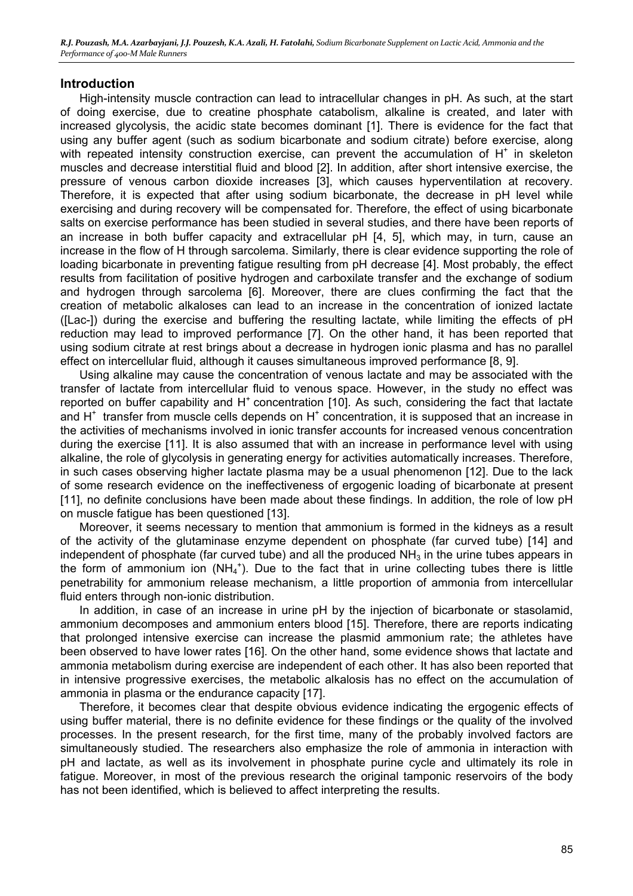#### **Introduction**

High-intensity muscle contraction can lead to intracellular changes in pH. As such, at the start of doing exercise, due to creatine phosphate catabolism, alkaline is created, and later with increased glycolysis, the acidic state becomes dominant [1]. There is evidence for the fact that using any buffer agent (such as sodium bicarbonate and sodium citrate) before exercise, along with repeated intensity construction exercise, can prevent the accumulation of  $H^+$  in skeleton muscles and decrease interstitial fluid and blood [2]. In addition, after short intensive exercise, the pressure of venous carbon dioxide increases [3], which causes hyperventilation at recovery. Therefore, it is expected that after using sodium bicarbonate, the decrease in pH level while exercising and during recovery will be compensated for. Therefore, the effect of using bicarbonate salts on exercise performance has been studied in several studies, and there have been reports of an increase in both buffer capacity and extracellular pH [4, 5], which may, in turn, cause an increase in the flow of H through sarcolema. Similarly, there is clear evidence supporting the role of loading bicarbonate in preventing fatigue resulting from pH decrease [4]. Most probably, the effect results from facilitation of positive hydrogen and carboxilate transfer and the exchange of sodium and hydrogen through sarcolema [6]. Moreover, there are clues confirming the fact that the creation of metabolic alkaloses can lead to an increase in the concentration of ionized lactate ([Lac-]) during the exercise and buffering the resulting lactate, while limiting the effects of pH reduction may lead to improved performance [7]. On the other hand, it has been reported that using sodium citrate at rest brings about a decrease in hydrogen ionic plasma and has no parallel effect on intercellular fluid, although it causes simultaneous improved performance [8, 9].

Using alkaline may cause the concentration of venous lactate and may be associated with the transfer of lactate from intercellular fluid to venous space. However, in the study no effect was reported on buffer capability and  $H^+$  concentration [10]. As such, considering the fact that lactate and  $H^+$  transfer from muscle cells depends on  $H^+$  concentration, it is supposed that an increase in the activities of mechanisms involved in ionic transfer accounts for increased venous concentration during the exercise [11]. It is also assumed that with an increase in performance level with using alkaline, the role of glycolysis in generating energy for activities automatically increases. Therefore, in such cases observing higher lactate plasma may be a usual phenomenon [12]. Due to the lack of some research evidence on the ineffectiveness of ergogenic loading of bicarbonate at present [11], no definite conclusions have been made about these findings. In addition, the role of low pH on muscle fatigue has been questioned [13].

Moreover, it seems necessary to mention that ammonium is formed in the kidneys as a result of the activity of the glutaminase enzyme dependent on phosphate (far curved tube) [14] and independent of phosphate (far curved tube) and all the produced  $NH<sub>3</sub>$  in the urine tubes appears in the form of ammonium ion  $(NH_4^+)$ . Due to the fact that in urine collecting tubes there is little penetrability for ammonium release mechanism, a little proportion of ammonia from intercellular fluid enters through non-ionic distribution.

In addition, in case of an increase in urine pH by the injection of bicarbonate or stasolamid, ammonium decomposes and ammonium enters blood [15]. Therefore, there are reports indicating that prolonged intensive exercise can increase the plasmid ammonium rate; the athletes have been observed to have lower rates [16]. On the other hand, some evidence shows that lactate and ammonia metabolism during exercise are independent of each other. It has also been reported that in intensive progressive exercises, the metabolic alkalosis has no effect on the accumulation of ammonia in plasma or the endurance capacity [17].

Therefore, it becomes clear that despite obvious evidence indicating the ergogenic effects of using buffer material, there is no definite evidence for these findings or the quality of the involved processes. In the present research, for the first time, many of the probably involved factors are simultaneously studied. The researchers also emphasize the role of ammonia in interaction with pH and lactate, as well as its involvement in phosphate purine cycle and ultimately its role in fatigue. Moreover, in most of the previous research the original tamponic reservoirs of the body has not been identified, which is believed to affect interpreting the results.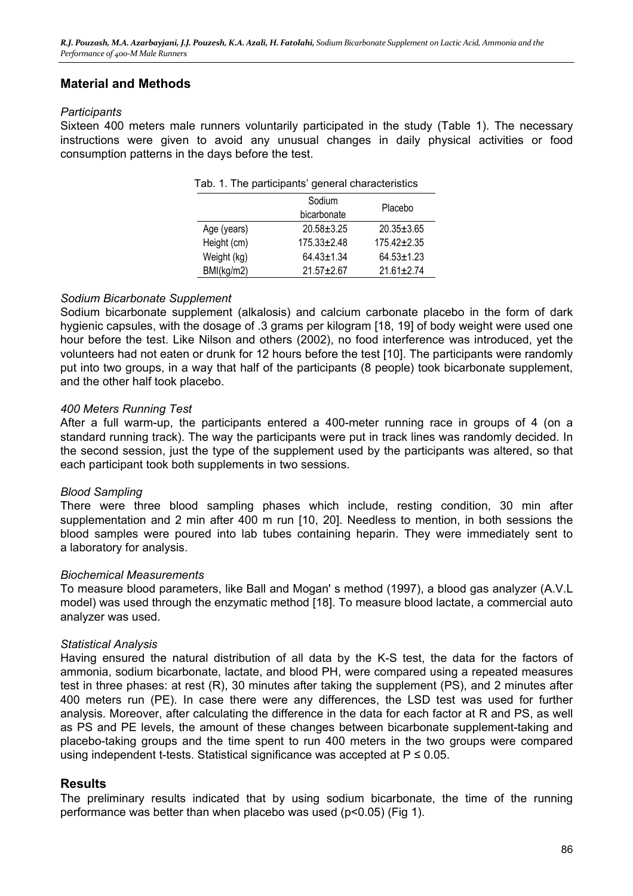### **Material and Methods**

#### *Participants*

Sixteen 400 meters male runners voluntarily participated in the study (Table 1). The necessary instructions were given to avoid any unusual changes in daily physical activities or food consumption patterns in the days before the test.

| Tab. 1. The participants' general characteristics |                       |                  |  |  |  |  |  |
|---------------------------------------------------|-----------------------|------------------|--|--|--|--|--|
|                                                   | Sodium<br>bicarbonate | Placebo          |  |  |  |  |  |
| Age (years)                                       | $20.58 + 3.25$        | $20.35 \pm 3.65$ |  |  |  |  |  |
| Height (cm)                                       | $175.33 \pm 2.48$     | $175.42 + 2.35$  |  |  |  |  |  |
| Weight (kg)                                       | $64.43 \pm 1.34$      | $64.53 \pm 1.23$ |  |  |  |  |  |
| BMI(kg/m2)                                        | $21.57 + 2.67$        | $21.61 \pm 2.74$ |  |  |  |  |  |

#### *Sodium Bicarbonate Supplement*

Sodium bicarbonate supplement (alkalosis) and calcium carbonate placebo in the form of dark hygienic capsules, with the dosage of .3 grams per kilogram [18, 19] of body weight were used one hour before the test. Like Nilson and others (2002), no food interference was introduced, yet the volunteers had not eaten or drunk for 12 hours before the test [10]. The participants were randomly put into two groups, in a way that half of the participants (8 people) took bicarbonate supplement, and the other half took placebo.

#### *400 Meters Running Test*

After a full warm-up, the participants entered a 400-meter running race in groups of 4 (on a standard running track). The way the participants were put in track lines was randomly decided. In the second session, just the type of the supplement used by the participants was altered, so that each participant took both supplements in two sessions.

#### *Blood Sampling*

There were three blood sampling phases which include, resting condition, 30 min after supplementation and 2 min after 400 m run [10, 20]. Needless to mention, in both sessions the blood samples were poured into lab tubes containing heparin. They were immediately sent to a laboratory for analysis.

#### *Biochemical Measurements*

To measure blood parameters, like Ball and Mogan' s method (1997), a blood gas analyzer (A.V.L model) was used through the enzymatic method [18]. To measure blood lactate, a commercial auto analyzer was used.

#### *Statistical Analysis*

Having ensured the natural distribution of all data by the K-S test, the data for the factors of ammonia, sodium bicarbonate, lactate, and blood PH, were compared using a repeated measures test in three phases: at rest (R), 30 minutes after taking the supplement (PS), and 2 minutes after 400 meters run (PE). In case there were any differences, the LSD test was used for further analysis. Moreover, after calculating the difference in the data for each factor at R and PS, as well as PS and PE levels, the amount of these changes between bicarbonate supplement-taking and placebo-taking groups and the time spent to run 400 meters in the two groups were compared using independent t-tests. Statistical significance was accepted at  $P \le 0.05$ .

#### **Results**

The preliminary results indicated that by using sodium bicarbonate, the time of the running performance was better than when placebo was used (p<0.05) (Fig 1).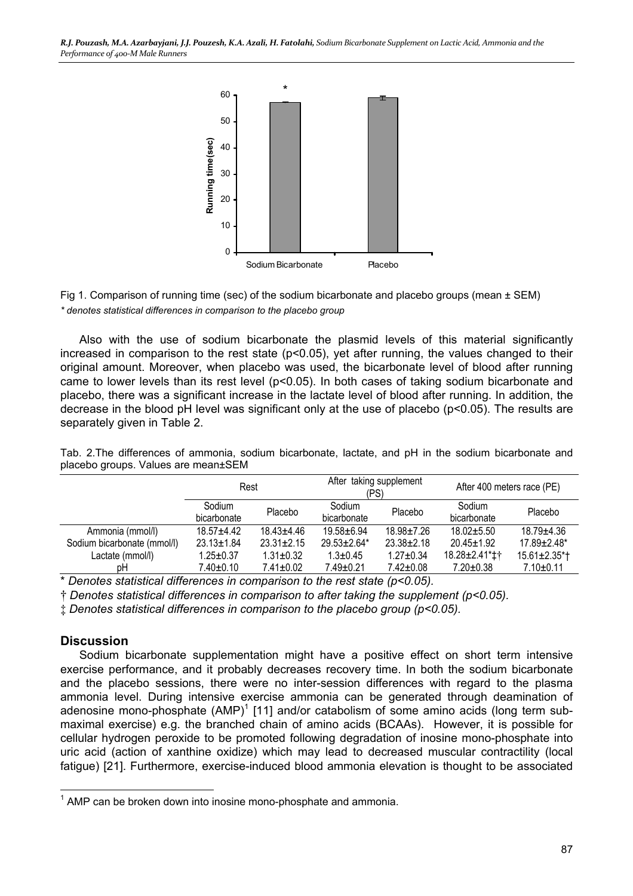*R.J. Pouzash, M.A. Azarbayjani, J.J. Pouzesh, K.A. Azali, H. Fatolahi, Sodium Bicarbonate Supplement on Lactic Acid, Ammonia and the Performance of 400-M Male Runners* 





Also with the use of sodium bicarbonate the plasmid levels of this material significantly increased in comparison to the rest state (p<0.05), yet after running, the values changed to their original amount. Moreover, when placebo was used, the bicarbonate level of blood after running came to lower levels than its rest level (p<0.05). In both cases of taking sodium bicarbonate and placebo, there was a significant increase in the lactate level of blood after running. In addition, the decrease in the blood pH level was significant only at the use of placebo (p<0.05). The results are separately given in Table 2.

|                             | Rest                  |                  | After taking supplement<br>(PS) |                  | After 400 meters race (PE) |                                 |
|-----------------------------|-----------------------|------------------|---------------------------------|------------------|----------------------------|---------------------------------|
|                             | Sodium<br>bicarbonate | Placebo          | Sodium<br>bicarbonate           | Placebo          | Sodium<br>bicarbonate      | Placebo                         |
| Ammonia (mmol/l)            | $18.57 + 4.42$        | $18.43 \pm 4.46$ | $19.58 + 6.94$                  | $18.98 + 7.26$   | $18.02 + 5.50$             | 18.79±4.36                      |
| Sodium bicarbonate (mmol/l) | $23.13 \pm 1.84$      | $23.31 \pm 2.15$ | $29.53 \pm 2.64*$               | $23.38 \pm 2.18$ | $20.45 \pm 1.92$           | $17.89 \pm 2.48^*$              |
| Lactate (mmol/l)            | $1.25 \pm 0.37$       | $1.31 \pm 0.32$  | $1.3 \pm 0.45$                  | $1.27 \pm 0.34$  | 18.28±2.41*‡†              | $15.61 \pm 2.35$ <sup>*</sup> T |
| рH                          | 7.40±0.10             | $7.41 \pm 0.02$  | $7.49 \pm 0.21$                 | $7.42 \pm 0.08$  | $7.20 \pm 0.38$            | $7.10 \pm 0.11$                 |

Tab. 2.The differences of ammonia, sodium bicarbonate, lactate, and pH in the sodium bicarbonate and placebo groups. Values are mean±SEM

\* *Denotes statistical differences in comparison to the rest state (p<0.05).*

† *Denotes statistical differences in comparison to after taking the supplement (p<0.05).*

‡ *Denotes statistical differences in comparison to the placebo group (p<0.05).*

#### **Discussion**

 $\overline{a}$ 

Sodium bicarbonate supplementation might have a positive effect on short term intensive exercise performance, and it probably decreases recovery time. In both the sodium bicarbonate and the placebo sessions, there were no inter-session differences with regard to the plasma ammonia level. During intensive exercise ammonia can be generated through deamination of adenosine mono-phosphate  $(AMP)^1$  [11] and/or catabolism of some amino acids (long term submaximal exercise) e.g. the branched chain of amino acids (BCAAs). However, it is possible for cellular hydrogen peroxide to be promoted following degradation of inosine mono-phosphate into uric acid (action of xanthine oxidize) which may lead to decreased muscular contractility (local fatigue) [21]. Furthermore, exercise-induced blood ammonia elevation is thought to be associated

 $1$  AMP can be broken down into inosine mono-phosphate and ammonia.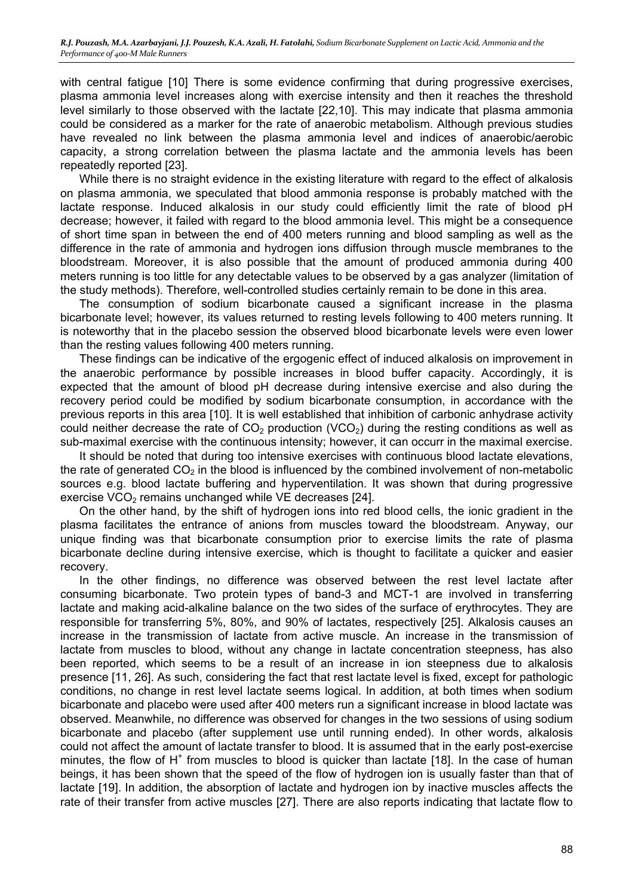with central fatigue [10] There is some evidence confirming that during progressive exercises, plasma ammonia level increases along with exercise intensity and then it reaches the threshold level similarly to those observed with the lactate [22,10]. This may indicate that plasma ammonia could be considered as a marker for the rate of anaerobic metabolism. Although previous studies have revealed no link between the plasma ammonia level and indices of anaerobic/aerobic capacity, a strong correlation between the plasma lactate and the ammonia levels has been repeatedly reported [23].

While there is no straight evidence in the existing literature with regard to the effect of alkalosis on plasma ammonia, we speculated that blood ammonia response is probably matched with the lactate response. Induced alkalosis in our study could efficiently limit the rate of blood pH decrease; however, it failed with regard to the blood ammonia level. This might be a consequence of short time span in between the end of 400 meters running and blood sampling as well as the difference in the rate of ammonia and hydrogen ions diffusion through muscle membranes to the bloodstream. Moreover, it is also possible that the amount of produced ammonia during 400 meters running is too little for any detectable values to be observed by a gas analyzer (limitation of the study methods). Therefore, well-controlled studies certainly remain to be done in this area.

The consumption of sodium bicarbonate caused a significant increase in the plasma bicarbonate level; however, its values returned to resting levels following to 400 meters running. It is noteworthy that in the placebo session the observed blood bicarbonate levels were even lower than the resting values following 400 meters running.

These findings can be indicative of the ergogenic effect of induced alkalosis on improvement in the anaerobic performance by possible increases in blood buffer capacity. Accordingly, it is expected that the amount of blood pH decrease during intensive exercise and also during the recovery period could be modified by sodium bicarbonate consumption, in accordance with the previous reports in this area [10]. It is well established that inhibition of carbonic anhydrase activity could neither decrease the rate of  $CO<sub>2</sub>$  production (VCO<sub>2</sub>) during the resting conditions as well as sub-maximal exercise with the continuous intensity; however, it can occurr in the maximal exercise.

It should be noted that during too intensive exercises with continuous blood lactate elevations, the rate of generated  $CO<sub>2</sub>$  in the blood is influenced by the combined involvement of non-metabolic sources e.g. blood lactate buffering and hyperventilation. It was shown that during progressive exercise VCO<sub>2</sub> remains unchanged while VE decreases [24].

On the other hand, by the shift of hydrogen ions into red blood cells, the ionic gradient in the plasma facilitates the entrance of anions from muscles toward the bloodstream. Anyway, our unique finding was that bicarbonate consumption prior to exercise limits the rate of plasma bicarbonate decline during intensive exercise, which is thought to facilitate a quicker and easier recovery.

In the other findings, no difference was observed between the rest level lactate after consuming bicarbonate. Two protein types of band-3 and MCT-1 are involved in transferring lactate and making acid-alkaline balance on the two sides of the surface of erythrocytes. They are responsible for transferring 5%, 80%, and 90% of lactates, respectively [25]. Alkalosis causes an increase in the transmission of lactate from active muscle. An increase in the transmission of lactate from muscles to blood, without any change in lactate concentration steepness, has also been reported, which seems to be a result of an increase in ion steepness due to alkalosis presence [11, 26]. As such, considering the fact that rest lactate level is fixed, except for pathologic conditions, no change in rest level lactate seems logical. In addition, at both times when sodium bicarbonate and placebo were used after 400 meters run a significant increase in blood lactate was observed. Meanwhile, no difference was observed for changes in the two sessions of using sodium bicarbonate and placebo (after supplement use until running ended). In other words, alkalosis could not affect the amount of lactate transfer to blood. It is assumed that in the early post-exercise minutes, the flow of  $H^+$  from muscles to blood is quicker than lactate [18]. In the case of human beings, it has been shown that the speed of the flow of hydrogen ion is usually faster than that of lactate [19]. In addition, the absorption of lactate and hydrogen ion by inactive muscles affects the rate of their transfer from active muscles [27]. There are also reports indicating that lactate flow to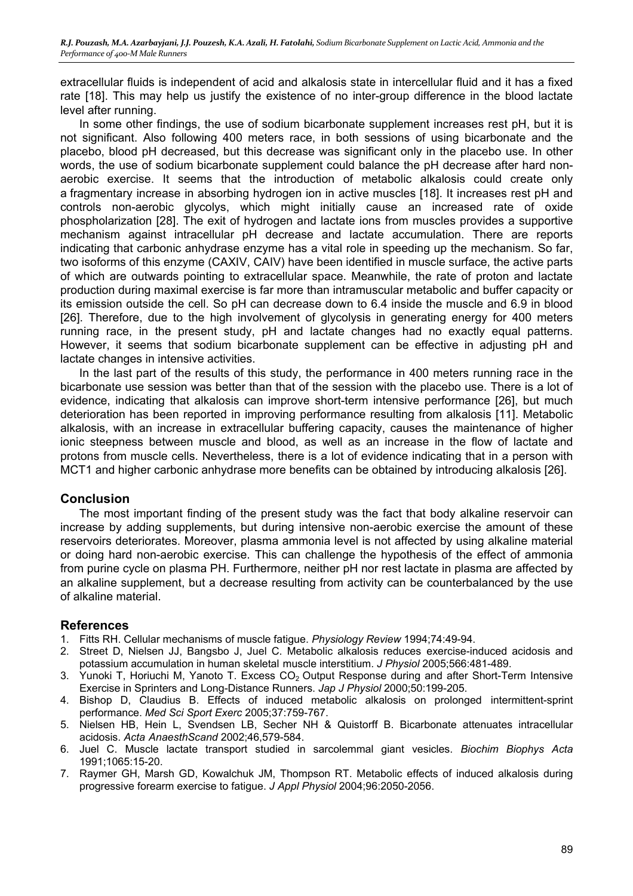extracellular fluids is independent of acid and alkalosis state in intercellular fluid and it has a fixed rate [18]. This may help us justify the existence of no inter-group difference in the blood lactate level after running.

In some other findings, the use of sodium bicarbonate supplement increases rest pH, but it is not significant. Also following 400 meters race, in both sessions of using bicarbonate and the placebo, blood pH decreased, but this decrease was significant only in the placebo use. In other words, the use of sodium bicarbonate supplement could balance the pH decrease after hard nonaerobic exercise. It seems that the introduction of metabolic alkalosis could create only a fragmentary increase in absorbing hydrogen ion in active muscles [18]. It increases rest pH and controls non-aerobic glycolys, which might initially cause an increased rate of oxide phospholarization [28]. The exit of hydrogen and lactate ions from muscles provides a supportive mechanism against intracellular pH decrease and lactate accumulation. There are reports indicating that carbonic anhydrase enzyme has a vital role in speeding up the mechanism. So far, two isoforms of this enzyme (CAXIV, CAIV) have been identified in muscle surface, the active parts of which are outwards pointing to extracellular space. Meanwhile, the rate of proton and lactate production during maximal exercise is far more than intramuscular metabolic and buffer capacity or its emission outside the cell. So pH can decrease down to 6.4 inside the muscle and 6.9 in blood [26]. Therefore, due to the high involvement of glycolysis in generating energy for 400 meters running race, in the present study, pH and lactate changes had no exactly equal patterns. However, it seems that sodium bicarbonate supplement can be effective in adjusting pH and lactate changes in intensive activities.

In the last part of the results of this study, the performance in 400 meters running race in the bicarbonate use session was better than that of the session with the placebo use. There is a lot of evidence, indicating that alkalosis can improve short-term intensive performance [26], but much deterioration has been reported in improving performance resulting from alkalosis [11]. Metabolic alkalosis, with an increase in extracellular buffering capacity, causes the maintenance of higher ionic steepness between muscle and blood, as well as an increase in the flow of lactate and protons from muscle cells. Nevertheless, there is a lot of evidence indicating that in a person with MCT1 and higher carbonic anhydrase more benefits can be obtained by introducing alkalosis [26].

#### **Conclusion**

The most important finding of the present study was the fact that body alkaline reservoir can increase by adding supplements, but during intensive non-aerobic exercise the amount of these reservoirs deteriorates. Moreover, plasma ammonia level is not affected by using alkaline material or doing hard non-aerobic exercise. This can challenge the hypothesis of the effect of ammonia from purine cycle on plasma PH. Furthermore, neither pH nor rest lactate in plasma are affected by an alkaline supplement, but a decrease resulting from activity can be counterbalanced by the use of alkaline material.

### **References**

- 1. Fitts RH. Cellular mechanisms of muscle fatigue. *Physiology Review* 1994;74:49-94.
- 2. Street D, Nielsen JJ, Bangsbo J, Juel C. Metabolic alkalosis reduces exercise-induced acidosis and potassium accumulation in human skeletal muscle interstitium. *J Physiol* 2005;566:481-489.
- 3. Yunoki T, Horiuchi M, Yanoto T. Excess  $CO<sub>2</sub>$  Output Response during and after Short-Term Intensive Exercise in Sprinters and Long-Distance Runners. *Jap J Physiol* 2000;50:199-205.
- 4. Bishop D, Claudius B. Effects of induced metabolic alkalosis on prolonged intermittent-sprint performance. *Med Sci Sport Exerc* 2005;37:759-767.
- 5. Nielsen HB, Hein L, Svendsen LB, Secher NH & Quistorff B. Bicarbonate attenuates intracellular acidosis. *Acta AnaesthScand* 2002;46,579-584.
- 6. Juel C. Muscle lactate transport studied in sarcolemmal giant vesicles. *Biochim Biophys Acta* 1991;1065:15-20.
- 7. Raymer GH, Marsh GD, Kowalchuk JM, Thompson RT. Metabolic effects of induced alkalosis during progressive forearm exercise to fatigue. *J Appl Physiol* 2004;96:2050-2056.